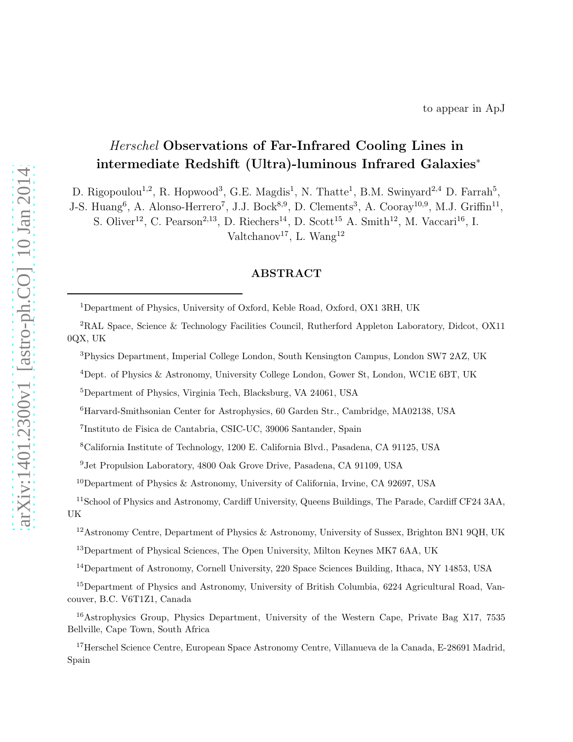# Herschel Observations of Far-Infrared Cooling Lines in intermediate Redshift (Ultra)-luminous Infrared Galaxies ∗

D. Rigopoulou<sup>1,2</sup>, R. Hopwood<sup>3</sup>, G.E. Magdis<sup>1</sup>, N. Thatte<sup>1</sup>, B.M. Swinyard<sup>2,4</sup> D. Farrah<sup>5</sup>,

J-S. Huang<sup>6</sup>, A. Alonso-Herrero<sup>7</sup>, J.J. Bock<sup>8,9</sup>, D. Clements<sup>3</sup>, A. Cooray<sup>10,9</sup>, M.J. Griffin<sup>11</sup>,

S. Oliver<sup>12</sup>, C. Pearson<sup>2,13</sup>, D. Riechers<sup>14</sup>, D. Scott<sup>15</sup> A. Smith<sup>12</sup>, M. Vaccari<sup>16</sup>, I. Valtchanov<sup>17</sup>, L. Wang<sup>12</sup>

# ABSTRACT

<sup>1</sup>Department of Physics, University of Oxford, Keble Road, Oxford, OX1 3RH, UK

<sup>2</sup>RAL Space, Science & Technology Facilities Council, Rutherford Appleton Laboratory, Didcot, OX11 0QX, UK

<sup>3</sup>Physics Department, Imperial College London, South Kensington Campus, London SW7 2AZ, UK

<sup>4</sup>Dept. of Physics & Astronomy, University College London, Gower St, London, WC1E 6BT, UK

<sup>5</sup>Department of Physics, Virginia Tech, Blacksburg, VA 24061, USA

<sup>6</sup>Harvard-Smithsonian Center for Astrophysics, 60 Garden Str., Cambridge, MA02138, USA

<sup>7</sup> Instituto de Fisica de Cantabria, CSIC-UC, 39006 Santander, Spain

<sup>8</sup>California Institute of Technology, 1200 E. California Blvd., Pasadena, CA 91125, USA

<sup>9</sup>Jet Propulsion Laboratory, 4800 Oak Grove Drive, Pasadena, CA 91109, USA

<sup>10</sup>Department of Physics & Astronomy, University of California, Irvine, CA 92697, USA

<sup>11</sup>School of Physics and Astronomy, Cardiff University, Queens Buildings, The Parade, Cardiff CF24 3AA, UK

<sup>12</sup>Astronomy Centre, Department of Physics & Astronomy, University of Sussex, Brighton BN1 9QH, UK

<sup>13</sup>Department of Physical Sciences, The Open University, Milton Keynes MK7 6AA, UK

<sup>14</sup>Department of Astronomy, Cornell University, 220 Space Sciences Building, Ithaca, NY 14853, USA

<sup>&</sup>lt;sup>15</sup>Department of Physics and Astronomy, University of British Columbia, 6224 Agricultural Road, Vancouver, B.C. V6T1Z1, Canada

<sup>&</sup>lt;sup>16</sup>Astrophysics Group, Physics Department, University of the Western Cape, Private Bag X17, 7535 Bellville, Cape Town, South Africa

<sup>17</sup>Herschel Science Centre, European Space Astronomy Centre, Villanueva de la Canada, E-28691 Madrid, Spain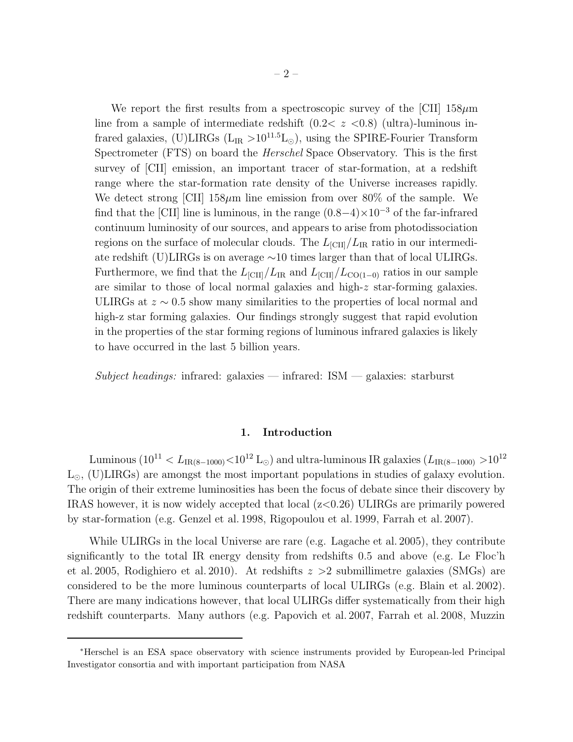We report the first results from a spectroscopic survey of the  $\text{[CII]}$  158 $\mu$ m line from a sample of intermediate redshift  $(0.2 < z < 0.8)$  (ultra)-luminous infrared galaxies, (U)LIRGs ( $L_{IR} > 10^{11.5}L_{\odot}$ ), using the SPIRE-Fourier Transform Spectrometer (FTS) on board the Herschel Space Observatory. This is the first survey of [CII] emission, an important tracer of star-formation, at a redshift range where the star-formation rate density of the Universe increases rapidly. We detect strong [CII]  $158\mu m$  line emission from over  $80\%$  of the sample. We find that the [CII] line is luminous, in the range  $(0.8-4) \times 10^{-3}$  of the far-infrared continuum luminosity of our sources, and appears to arise from photodissociation regions on the surface of molecular clouds. The  $L_{\text{[CII]}}/L_{\text{IR}}$  ratio in our intermediate redshift (U)LIRGs is on average ∼10 times larger than that of local ULIRGs. Furthermore, we find that the  $L_{\text{[CII]}}/L_{\text{IR}}$  and  $L_{\text{[CII]}}/L_{\text{CO(1-0)}}$  ratios in our sample are similar to those of local normal galaxies and high-z star-forming galaxies. ULIRGs at  $z \sim 0.5$  show many similarities to the properties of local normal and high-z star forming galaxies. Our findings strongly suggest that rapid evolution in the properties of the star forming regions of luminous infrared galaxies is likely to have occurred in the last 5 billion years.

Subject headings: infrared: galaxies — infrared:  $ISM$  — galaxies: starburst

## 1. Introduction

Luminous ( $10^{11} < L_{IR(8-1000)} < 10^{12}$  L<sub>☉</sub>) and ultra-luminous IR galaxies ( $L_{IR(8-1000)} > 10^{12}$  $L_{\odot}$ , (U)LIRGs) are amongst the most important populations in studies of galaxy evolution. The origin of their extreme luminosities has been the focus of debate since their discovery by IRAS however, it is now widely accepted that local  $(z<0.26)$  ULIRGs are primarily powered by star-formation (e.g. Genzel et al. 1998, Rigopoulou et al. 1999, Farrah et al. 2007).

While ULIRGs in the local Universe are rare (e.g. Lagache et al. 2005), they contribute significantly to the total IR energy density from redshifts 0.5 and above (e.g. Le Floc'h et al. 2005, Rodighiero et al. 2010). At redshifts  $z > 2$  submillimetre galaxies (SMGs) are considered to be the more luminous counterparts of local ULIRGs (e.g. Blain et al. 2002). There are many indications however, that local ULIRGs differ systematically from their high redshift counterparts. Many authors (e.g. Papovich et al. 2007, Farrah et al. 2008, Muzzin

<sup>∗</sup>Herschel is an ESA space observatory with science instruments provided by European-led Principal Investigator consortia and with important participation from NASA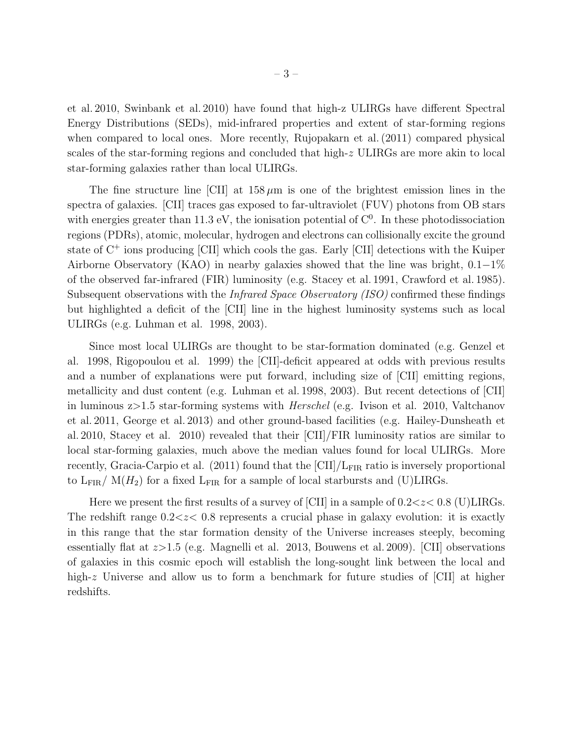et al. 2010, Swinbank et al. 2010) have found that high-z ULIRGs have different Spectral Energy Distributions (SEDs), mid-infrared properties and extent of star-forming regions when compared to local ones. More recently, Rujopakarn et al. (2011) compared physical scales of the star-forming regions and concluded that high-z ULIRGs are more akin to local star-forming galaxies rather than local ULIRGs.

The fine structure line [CII] at  $158 \mu m$  is one of the brightest emission lines in the spectra of galaxies. [CII] traces gas exposed to far-ultraviolet (FUV) photons from OB stars with energies greater than 11.3 eV, the ionisation potential of  $C<sup>0</sup>$ . In these photodissociation regions (PDRs), atomic, molecular, hydrogen and electrons can collisionally excite the ground state of  $C^+$  ions producing [CII] which cools the gas. Early [CII] detections with the Kuiper Airborne Observatory (KAO) in nearby galaxies showed that the line was bright, 0.1−1% of the observed far-infrared (FIR) luminosity (e.g. Stacey et al. 1991, Crawford et al. 1985). Subsequent observations with the *Infrared Space Observatory (ISO)* confirmed these findings but highlighted a deficit of the [CII] line in the highest luminosity systems such as local ULIRGs (e.g. Luhman et al. 1998, 2003).

Since most local ULIRGs are thought to be star-formation dominated (e.g. Genzel et al. 1998, Rigopoulou et al. 1999) the [CII]-deficit appeared at odds with previous results and a number of explanations were put forward, including size of [CII] emitting regions, metallicity and dust content (e.g. Luhman et al. 1998, 2003). But recent detections of [CII] in luminous z>1.5 star-forming systems with Herschel (e.g. Ivison et al. 2010, Valtchanov et al. 2011, George et al. 2013) and other ground-based facilities (e.g. Hailey-Dunsheath et al. 2010, Stacey et al. 2010) revealed that their [CII]/FIR luminosity ratios are similar to local star-forming galaxies, much above the median values found for local ULIRGs. More recently, Gracia-Carpio et al. (2011) found that the  $\text{[CII]}/L_{\text{FIR}}$  ratio is inversely proportional to  $L_{\text{FIR}}/M(H_2)$  for a fixed  $L_{\text{FIR}}$  for a sample of local starbursts and (U)LIRGs.

Here we present the first results of a survey of [CII] in a sample of  $0.2 < z < 0.8$  (U)LIRGs. The redshift range  $0.2 \ll z \ll 0.8$  represents a crucial phase in galaxy evolution: it is exactly in this range that the star formation density of the Universe increases steeply, becoming essentially flat at z>1.5 (e.g. Magnelli et al. 2013, Bouwens et al. 2009). [CII] observations of galaxies in this cosmic epoch will establish the long-sought link between the local and high-z Universe and allow us to form a benchmark for future studies of [CII] at higher redshifts.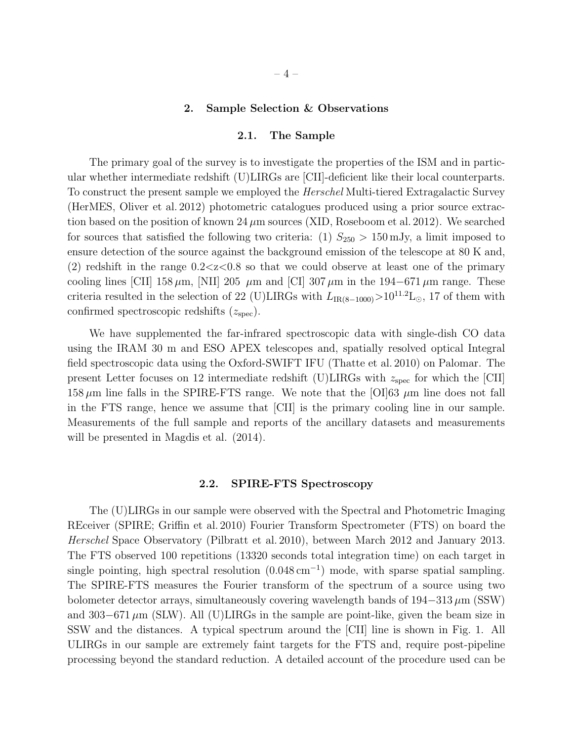#### 2. Sample Selection & Observations

#### 2.1. The Sample

The primary goal of the survey is to investigate the properties of the ISM and in particular whether intermediate redshift (U)LIRGs are [CII]-deficient like their local counterparts. To construct the present sample we employed the Herschel Multi-tiered Extragalactic Survey (HerMES, Oliver et al. 2012) photometric catalogues produced using a prior source extraction based on the position of known  $24 \mu m$  sources (XID, Roseboom et al. 2012). We searched for sources that satisfied the following two criteria: (1)  $S_{250} > 150 \,\mathrm{mJy}$ , a limit imposed to ensure detection of the source against the background emission of the telescope at 80 K and, (2) redshift in the range  $0.2 < z < 0.8$  so that we could observe at least one of the primary cooling lines [CII] 158  $\mu$ m, [NII] 205  $\mu$ m and [CI] 307  $\mu$ m in the 194–671  $\mu$ m range. These criteria resulted in the selection of 22 (U)LIRGs with  $L_{IR(8-1000)} > 10^{11.2}$ L<sub>⊙</sub>, 17 of them with confirmed spectroscopic redshifts  $(z<sub>spec</sub>)$ .

We have supplemented the far-infrared spectroscopic data with single-dish CO data using the IRAM 30 m and ESO APEX telescopes and, spatially resolved optical Integral field spectroscopic data using the Oxford-SWIFT IFU (Thatte et al. 2010) on Palomar. The present Letter focuses on 12 intermediate redshift (U)LIRGs with  $z_{\rm spec}$  for which the [CII] 158  $\mu$ m line falls in the SPIRE-FTS range. We note that the [OI]63  $\mu$ m line does not fall in the FTS range, hence we assume that [CII] is the primary cooling line in our sample. Measurements of the full sample and reports of the ancillary datasets and measurements will be presented in Magdis et al.  $(2014)$ .

## 2.2. SPIRE-FTS Spectroscopy

The (U)LIRGs in our sample were observed with the Spectral and Photometric Imaging REceiver (SPIRE; Griffin et al. 2010) Fourier Transform Spectrometer (FTS) on board the Herschel Space Observatory (Pilbratt et al. 2010), between March 2012 and January 2013. The FTS observed 100 repetitions (13320 seconds total integration time) on each target in single pointing, high spectral resolution  $(0.048 \text{ cm}^{-1})$  mode, with sparse spatial sampling. The SPIRE-FTS measures the Fourier transform of the spectrum of a source using two bolometer detector arrays, simultaneously covering wavelength bands of  $194-313 \mu m$  (SSW) and 303–671  $\mu$ m (SLW). All (U)LIRGs in the sample are point-like, given the beam size in SSW and the distances. A typical spectrum around the [CII] line is shown in Fig. 1. All ULIRGs in our sample are extremely faint targets for the FTS and, require post-pipeline processing beyond the standard reduction. A detailed account of the procedure used can be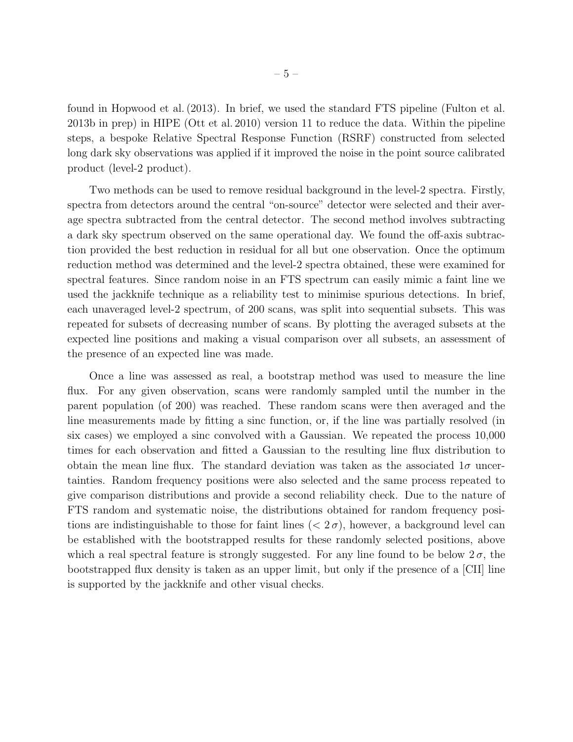found in Hopwood et al. (2013). In brief, we used the standard FTS pipeline (Fulton et al. 2013b in prep) in HIPE (Ott et al. 2010) version 11 to reduce the data. Within the pipeline steps, a bespoke Relative Spectral Response Function (RSRF) constructed from selected long dark sky observations was applied if it improved the noise in the point source calibrated product (level-2 product).

Two methods can be used to remove residual background in the level-2 spectra. Firstly, spectra from detectors around the central "on-source" detector were selected and their average spectra subtracted from the central detector. The second method involves subtracting a dark sky spectrum observed on the same operational day. We found the off-axis subtraction provided the best reduction in residual for all but one observation. Once the optimum reduction method was determined and the level-2 spectra obtained, these were examined for spectral features. Since random noise in an FTS spectrum can easily mimic a faint line we used the jackknife technique as a reliability test to minimise spurious detections. In brief, each unaveraged level-2 spectrum, of 200 scans, was split into sequential subsets. This was repeated for subsets of decreasing number of scans. By plotting the averaged subsets at the expected line positions and making a visual comparison over all subsets, an assessment of the presence of an expected line was made.

Once a line was assessed as real, a bootstrap method was used to measure the line flux. For any given observation, scans were randomly sampled until the number in the parent population (of 200) was reached. These random scans were then averaged and the line measurements made by fitting a sinc function, or, if the line was partially resolved (in six cases) we employed a sinc convolved with a Gaussian. We repeated the process 10,000 times for each observation and fitted a Gaussian to the resulting line flux distribution to obtain the mean line flux. The standard deviation was taken as the associated  $1\sigma$  uncertainties. Random frequency positions were also selected and the same process repeated to give comparison distributions and provide a second reliability check. Due to the nature of FTS random and systematic noise, the distributions obtained for random frequency positions are indistinguishable to those for faint lines  $( $2\sigma$ ), however, a background level can$ be established with the bootstrapped results for these randomly selected positions, above which a real spectral feature is strongly suggested. For any line found to be below  $2\sigma$ , the bootstrapped flux density is taken as an upper limit, but only if the presence of a [CII] line is supported by the jackknife and other visual checks.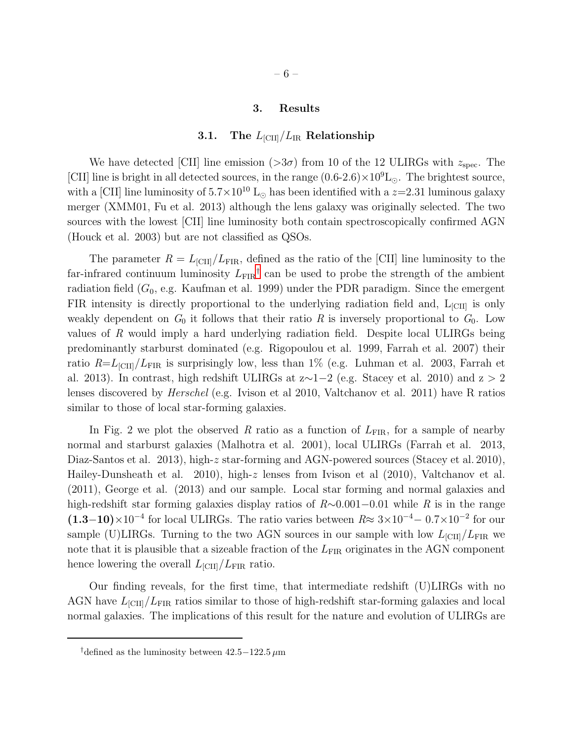#### 3. Results

## 3.1. The  $L_{\text{[CII]}}/L_{\text{IR}}$  Relationship

We have detected [CII] line emission  $(>3\sigma)$  from 10 of the 12 ULIRGs with  $z_{\rm spec}$ . The [CII] line is bright in all detected sources, in the range  $(0.6{\text -}2.6)\times10^9{\text{L}}_{\odot}$ . The brightest source, with a [CII] line luminosity of  $5.7 \times 10^{10}$  L<sub>☉</sub> has been identified with a  $z=2.31$  luminous galaxy merger (XMM01, Fu et al. 2013) although the lens galaxy was originally selected. The two sources with the lowest [CII] line luminosity both contain spectroscopically confirmed AGN (Houck et al. 2003) but are not classified as QSOs.

The parameter  $R = L_{\text{[CII]}}/L_{\text{FIR}}$ , defined as the ratio of the [CII] line luminosity to the far-infrared continuum luminosity  $L_{\text{FIR}}$ <sup>[†](#page-5-0)</sup> can be used to probe the strength of the ambient radiation field  $(G_0, e.g.$  Kaufman et al. 1999) under the PDR paradigm. Since the emergent FIR intensity is directly proportional to the underlying radiation field and,  $L_{\text{[CII]}}$  is only weakly dependent on  $G_0$  it follows that their ratio R is inversely proportional to  $G_0$ . Low values of R would imply a hard underlying radiation field. Despite local ULIRGs being predominantly starburst dominated (e.g. Rigopoulou et al. 1999, Farrah et al. 2007) their ratio  $R=L_{\text{[CII]}}/L_{\text{FIR}}$  is surprisingly low, less than 1% (e.g. Luhman et al. 2003, Farrah et al. 2013). In contrast, high redshift ULIRGs at  $z \sim 1-2$  (e.g. Stacey et al. 2010) and  $z > 2$ lenses discovered by Herschel (e.g. Ivison et al 2010, Valtchanov et al. 2011) have R ratios similar to those of local star-forming galaxies.

In Fig. 2 we plot the observed R ratio as a function of  $L_{\text{FIR}}$ , for a sample of nearby normal and starburst galaxies (Malhotra et al. 2001), local ULIRGs (Farrah et al. 2013, Diaz-Santos et al. 2013), high-z star-forming and AGN-powered sources (Stacey et al. 2010), Hailey-Dunsheath et al. 2010), high-z lenses from Ivison et al  $(2010)$ , Valtchanov et al. (2011), George et al. (2013) and our sample. Local star forming and normal galaxies and high-redshift star forming galaxies display ratios of R∼0.001−0.01 while R is in the range  $(1.3-10)\times10^{-4}$  for local ULIRGs. The ratio varies between  $R \approx 3\times10^{-4} - 0.7\times10^{-2}$  for our sample (U)LIRGs. Turning to the two AGN sources in our sample with low  $L_{\text{[CII]}}/L_{\text{FIR}}$  we note that it is plausible that a sizeable fraction of the  $L_{\rm FIR}$  originates in the AGN component hence lowering the overall  $L_{\text{[CII]}}/L_{\text{FIR}}$  ratio.

Our finding reveals, for the first time, that intermediate redshift (U)LIRGs with no AGN have  $L_{\text{[CII]}}/L_{\text{FIR}}$  ratios similar to those of high-redshift star-forming galaxies and local normal galaxies. The implications of this result for the nature and evolution of ULIRGs are

<span id="page-5-0"></span><sup>†</sup>defined as the luminosity between  $42.5-122.5 \,\mu m$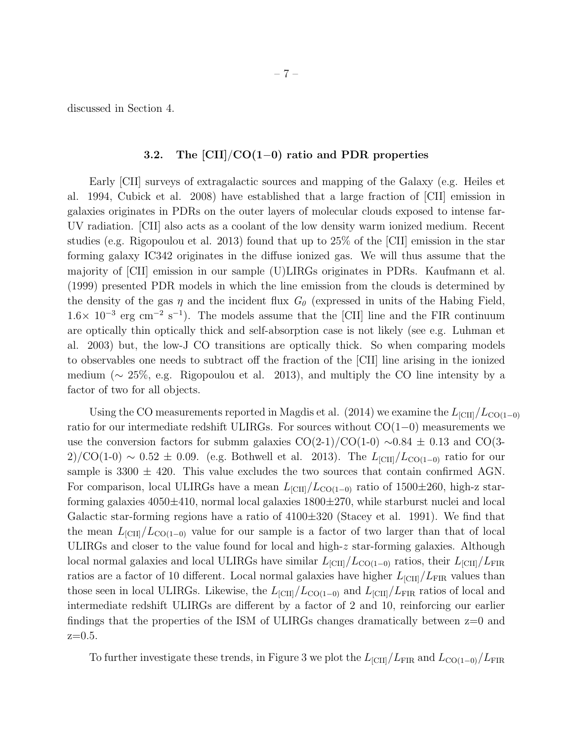discussed in Section 4.

# 3.2. The [CII]/CO(1−0) ratio and PDR properties

Early [CII] surveys of extragalactic sources and mapping of the Galaxy (e.g. Heiles et al. 1994, Cubick et al. 2008) have established that a large fraction of [CII] emission in galaxies originates in PDRs on the outer layers of molecular clouds exposed to intense far-UV radiation. [CII] also acts as a coolant of the low density warm ionized medium. Recent studies (e.g. Rigopoulou et al. 2013) found that up to 25% of the [CII] emission in the star forming galaxy IC342 originates in the diffuse ionized gas. We will thus assume that the majority of [CII] emission in our sample (U)LIRGs originates in PDRs. Kaufmann et al. (1999) presented PDR models in which the line emission from the clouds is determined by the density of the gas  $\eta$  and the incident flux  $G_{\theta}$  (expressed in units of the Habing Field,  $1.6\times 10^{-3}$  erg cm<sup>-2</sup> s<sup>-1</sup>). The models assume that the [CII] line and the FIR continuum are optically thin optically thick and self-absorption case is not likely (see e.g. Luhman et al. 2003) but, the low-J CO transitions are optically thick. So when comparing models to observables one needs to subtract off the fraction of the [CII] line arising in the ionized medium ( $\sim 25\%$ , e.g. Rigopoulou et al. 2013), and multiply the CO line intensity by a factor of two for all objects.

Using the CO measurements reported in Magdis et al. (2014) we examine the  $L_{\text{[CII]}}/L_{\text{CO(1-0)}}$ ratio for our intermediate redshift ULIRGs. For sources without  $CO(1-0)$  measurements we use the conversion factors for submm galaxies  $CO(2-1)/CO(1-0) \sim 0.84 \pm 0.13$  and  $CO(3-1)$ 2)/CO(1-0) ~ 0.52  $\pm$  0.09. (e.g. Bothwell et al. 2013). The  $L_{\text{[CII]}}/L_{\text{CO(1-0)}}$  ratio for our sample is 3300  $\pm$  420. This value excludes the two sources that contain confirmed AGN. For comparison, local ULIRGs have a mean  $L_{\text{[CII]}}/L_{\text{CO(1-0)}}$  ratio of 1500 $\pm$ 260, high-z starforming galaxies 4050±410, normal local galaxies 1800±270, while starburst nuclei and local Galactic star-forming regions have a ratio of  $4100\pm320$  (Stacey et al. 1991). We find that the mean  $L_{\text{[CII]}}/L_{\text{CO(1-0)}}$  value for our sample is a factor of two larger than that of local ULIRGs and closer to the value found for local and high-z star-forming galaxies. Although local normal galaxies and local ULIRGs have similar  $L_{\text{[CII]}}/L_{\text{CO(1-0)}}$  ratios, their  $L_{\text{[CII]}}/L_{\text{FIR}}$ ratios are a factor of 10 different. Local normal galaxies have higher  $L_{\text{[CII]}}/L_{\text{FIR}}$  values than those seen in local ULIRGs. Likewise, the  $L_{\text{[CII]}}/L_{\text{CO(1-0)}}$  and  $L_{\text{[CII]}}/L_{\text{FIR}}$  ratios of local and intermediate redshift ULIRGs are different by a factor of 2 and 10, reinforcing our earlier findings that the properties of the ISM of ULIRGs changes dramatically between  $z=0$  and  $z=0.5$ .

To further investigate these trends, in Figure 3 we plot the  $L_{\text{[CII]}}/L_{\text{FIR}}$  and  $L_{\text{CO(1-0)}}/L_{\text{FIR}}$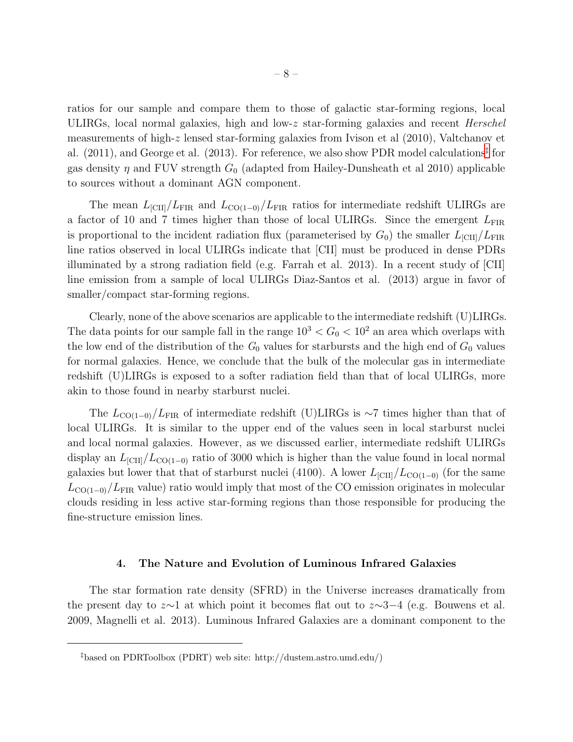ratios for our sample and compare them to those of galactic star-forming regions, local ULIRGs, local normal galaxies, high and low-z star-forming galaxies and recent  $Herschel$ measurements of high-z lensed star-forming galaxies from Ivison et al (2010), Valtchanov et al. (2011), and George et al. (2013). For reference, we also show PDR model calculations<sup>[‡](#page-10-0)</sup> for gas density  $\eta$  and FUV strength  $G_0$  (adapted from Hailey-Dunsheath et al 2010) applicable to sources without a dominant AGN component.

The mean  $L_{\text{[CII]}}/L_{\text{FIR}}$  and  $L_{\text{CO(1-0)}}/L_{\text{FIR}}$  ratios for intermediate redshift ULIRGs are a factor of 10 and 7 times higher than those of local ULIRGs. Since the emergent  $L_{\text{FIR}}$ is proportional to the incident radiation flux (parameterised by  $G_0$ ) the smaller  $L_{\text{[CII]}}/L_{\text{FIR}}$ line ratios observed in local ULIRGs indicate that [CII] must be produced in dense PDRs illuminated by a strong radiation field (e.g. Farrah et al. 2013). In a recent study of [CII] line emission from a sample of local ULIRGs Diaz-Santos et al. (2013) argue in favor of smaller/compact star-forming regions.

Clearly, none of the above scenarios are applicable to the intermediate redshift (U)LIRGs. The data points for our sample fall in the range  $10^3 < G_0 < 10^2$  an area which overlaps with the low end of the distribution of the  $G_0$  values for starbursts and the high end of  $G_0$  values for normal galaxies. Hence, we conclude that the bulk of the molecular gas in intermediate redshift (U)LIRGs is exposed to a softer radiation field than that of local ULIRGs, more akin to those found in nearby starburst nuclei.

The  $L_{\text{CO(1-0)}}/L_{\text{FIR}}$  of intermediate redshift (U)LIRGs is ∼7 times higher than that of local ULIRGs. It is similar to the upper end of the values seen in local starburst nuclei and local normal galaxies. However, as we discussed earlier, intermediate redshift ULIRGs display an  $L_{\text{[CII]}}/L_{\text{CO(1-0)}}$  ratio of 3000 which is higher than the value found in local normal galaxies but lower that that of starburst nuclei (4100). A lower  $L_{\text{[CII]}}/L_{\text{CO(1-0)}}$  (for the same  $L_{\text{CO(1-0)}}/L_{\text{FIR}}$  value) ratio would imply that most of the CO emission originates in molecular clouds residing in less active star-forming regions than those responsible for producing the fine-structure emission lines.

## 4. The Nature and Evolution of Luminous Infrared Galaxies

The star formation rate density (SFRD) in the Universe increases dramatically from the present day to  $z \sim 1$  at which point it becomes flat out to  $z \sim 3-4$  (e.g. Bouwens et al. 2009, Magnelli et al. 2013). Luminous Infrared Galaxies are a dominant component to the

<sup>‡</sup>based on PDRToolbox (PDRT) web site: http://dustem.astro.umd.edu/)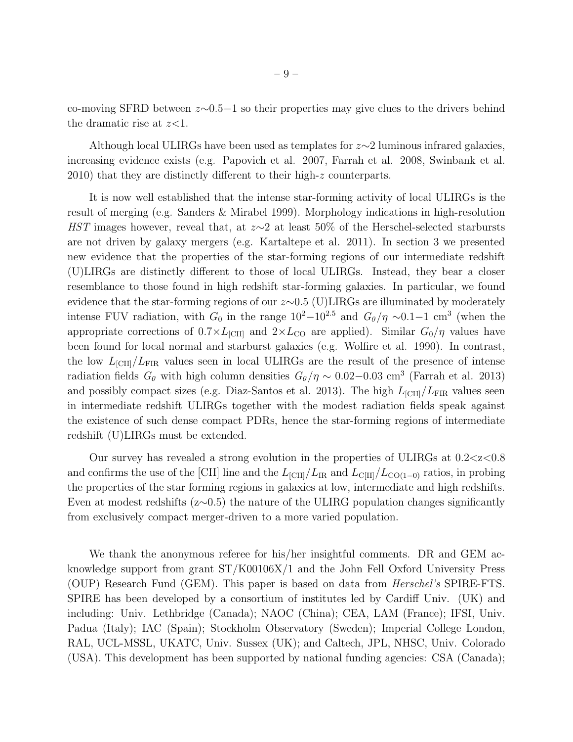co-moving SFRD between z∼0.5−1 so their properties may give clues to the drivers behind the dramatic rise at  $z<1$ .

Although local ULIRGs have been used as templates for z∼2 luminous infrared galaxies, increasing evidence exists (e.g. Papovich et al. 2007, Farrah et al. 2008, Swinbank et al. 2010) that they are distinctly different to their high-z counterparts.

It is now well established that the intense star-forming activity of local ULIRGs is the result of merging (e.g. Sanders & Mirabel 1999). Morphology indications in high-resolution HST images however, reveal that, at  $z \sim 2$  at least 50% of the Herschel-selected starbursts are not driven by galaxy mergers (e.g. Kartaltepe et al. 2011). In section 3 we presented new evidence that the properties of the star-forming regions of our intermediate redshift (U)LIRGs are distinctly different to those of local ULIRGs. Instead, they bear a closer resemblance to those found in high redshift star-forming galaxies. In particular, we found evidence that the star-forming regions of our z∼0.5 (U)LIRGs are illuminated by moderately intense FUV radiation, with  $G_0$  in the range  $10^2-10^{2.5}$  and  $G_0/\eta \sim 0.1-1$  cm<sup>3</sup> (when the appropriate corrections of  $0.7 \times L_{\text{[CII]}}$  and  $2 \times L_{\text{CO}}$  are applied). Similar  $G_0/\eta$  values have been found for local normal and starburst galaxies (e.g. Wolfire et al. 1990). In contrast, the low  $L_{\text{CIII}}/L_{\text{FIR}}$  values seen in local ULIRGs are the result of the presence of intense radiation fields  $G_0$  with high column densities  $G_0/\eta \sim 0.02-0.03$  cm<sup>3</sup> (Farrah et al. 2013) and possibly compact sizes (e.g. Diaz-Santos et al. 2013). The high  $L_{\text{[CII]}}/L_{\text{FIR}}$  values seen in intermediate redshift ULIRGs together with the modest radiation fields speak against the existence of such dense compact PDRs, hence the star-forming regions of intermediate redshift (U)LIRGs must be extended.

Our survey has revealed a strong evolution in the properties of ULIRGs at  $0.2 < z < 0.8$ and confirms the use of the [CII] line and the  $L_{\text{[CII]}}/L_{\text{IR}}$  and  $L_{\text{[CIII]}}/L_{\text{CO(1-0)}}$  ratios, in probing the properties of the star forming regions in galaxies at low, intermediate and high redshifts. Even at modest redshifts ( $z\sim0.5$ ) the nature of the ULIRG population changes significantly from exclusively compact merger-driven to a more varied population.

We thank the anonymous referee for his/her insightful comments. DR and GEM acknowledge support from grant ST/K00106X/1 and the John Fell Oxford University Press (OUP) Research Fund (GEM). This paper is based on data from Herschel's SPIRE-FTS. SPIRE has been developed by a consortium of institutes led by Cardiff Univ. (UK) and including: Univ. Lethbridge (Canada); NAOC (China); CEA, LAM (France); IFSI, Univ. Padua (Italy); IAC (Spain); Stockholm Observatory (Sweden); Imperial College London, RAL, UCL-MSSL, UKATC, Univ. Sussex (UK); and Caltech, JPL, NHSC, Univ. Colorado (USA). This development has been supported by national funding agencies: CSA (Canada);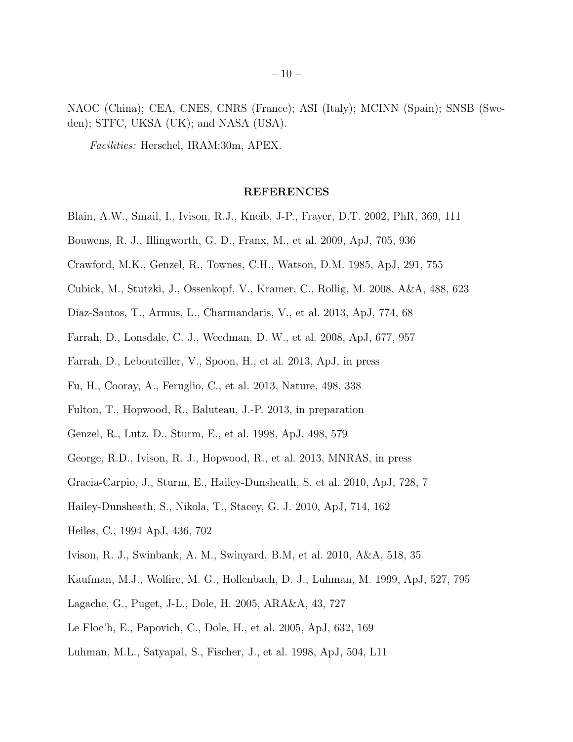NAOC (China); CEA, CNES, CNRS (France); ASI (Italy); MCINN (Spain); SNSB (Sweden); STFC, UKSA (UK); and NASA (USA).

Facilities: Herschel, IRAM:30m, APEX.

# REFERENCES

- Blain, A.W., Smail, I., Ivison, R.J., Kneib, J-P., Frayer, D.T. 2002, PhR, 369, 111
- Bouwens, R. J., Illingworth, G. D., Franx, M., et al. 2009, ApJ, 705, 936
- Crawford, M.K., Genzel, R., Townes, C.H., Watson, D.M. 1985, ApJ, 291, 755
- Cubick, M., Stutzki, J., Ossenkopf, V., Kramer, C., Rollig, M. 2008, A&A, 488, 623
- Diaz-Santos, T., Armus, L., Charmandaris, V., et al. 2013, ApJ, 774, 68
- Farrah, D., Lonsdale, C. J., Weedman, D. W., et al. 2008, ApJ, 677, 957
- Farrah, D., Lebouteiller, V., Spoon, H., et al. 2013, ApJ, in press
- Fu, H., Cooray, A., Feruglio, C., et al. 2013, Nature, 498, 338
- Fulton, T., Hopwood, R., Baluteau, J.-P. 2013, in preparation
- Genzel, R., Lutz, D., Sturm, E., et al. 1998, ApJ, 498, 579
- George, R.D., Ivison, R. J., Hopwood, R., et al. 2013, MNRAS, in press
- Gracia-Carpio, J., Sturm, E., Hailey-Dunsheath, S. et al. 2010, ApJ, 728, 7
- Hailey-Dunsheath, S., Nikola, T., Stacey, G. J. 2010, ApJ, 714, 162
- Heiles, C., 1994 ApJ, 436, 702
- Ivison, R. J., Swinbank, A. M., Swinyard, B.M, et al. 2010, A&A, 518, 35
- Kaufman, M.J., Wolfire, M. G., Hollenbach, D. J., Luhman, M. 1999, ApJ, 527, 795
- Lagache, G., Puget, J-L., Dole, H. 2005, ARA&A, 43, 727
- Le Floc'h, E., Papovich, C., Dole, H., et al. 2005, ApJ, 632, 169
- Luhman, M.L., Satyapal, S., Fischer, J., et al. 1998, ApJ, 504, L11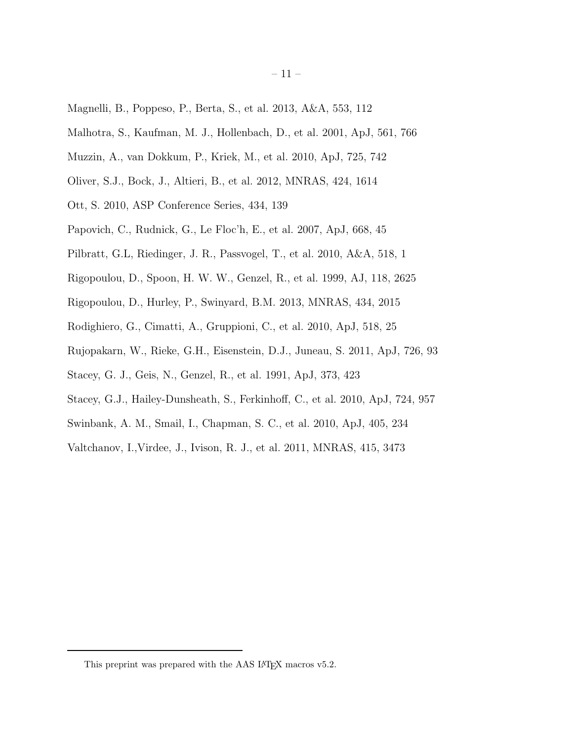- Magnelli, B., Poppeso, P., Berta, S., et al. 2013, A&A, 553, 112
- Malhotra, S., Kaufman, M. J., Hollenbach, D., et al. 2001, ApJ, 561, 766
- Muzzin, A., van Dokkum, P., Kriek, M., et al. 2010, ApJ, 725, 742
- Oliver, S.J., Bock, J., Altieri, B., et al. 2012, MNRAS, 424, 1614
- Ott, S. 2010, ASP Conference Series, 434, 139
- Papovich, C., Rudnick, G., Le Floc'h, E., et al. 2007, ApJ, 668, 45
- Pilbratt, G.L, Riedinger, J. R., Passvogel, T., et al. 2010, A&A, 518, 1
- Rigopoulou, D., Spoon, H. W. W., Genzel, R., et al. 1999, AJ, 118, 2625
- Rigopoulou, D., Hurley, P., Swinyard, B.M. 2013, MNRAS, 434, 2015
- Rodighiero, G., Cimatti, A., Gruppioni, C., et al. 2010, ApJ, 518, 25
- Rujopakarn, W., Rieke, G.H., Eisenstein, D.J., Juneau, S. 2011, ApJ, 726, 93
- Stacey, G. J., Geis, N., Genzel, R., et al. 1991, ApJ, 373, 423
- Stacey, G.J., Hailey-Dunsheath, S., Ferkinhoff, C., et al. 2010, ApJ, 724, 957
- Swinbank, A. M., Smail, I., Chapman, S. C., et al. 2010, ApJ, 405, 234
- Valtchanov, I.,Virdee, J., Ivison, R. J., et al. 2011, MNRAS, 415, 3473

<span id="page-10-0"></span>This preprint was prepared with the AAS IATEX macros v5.2.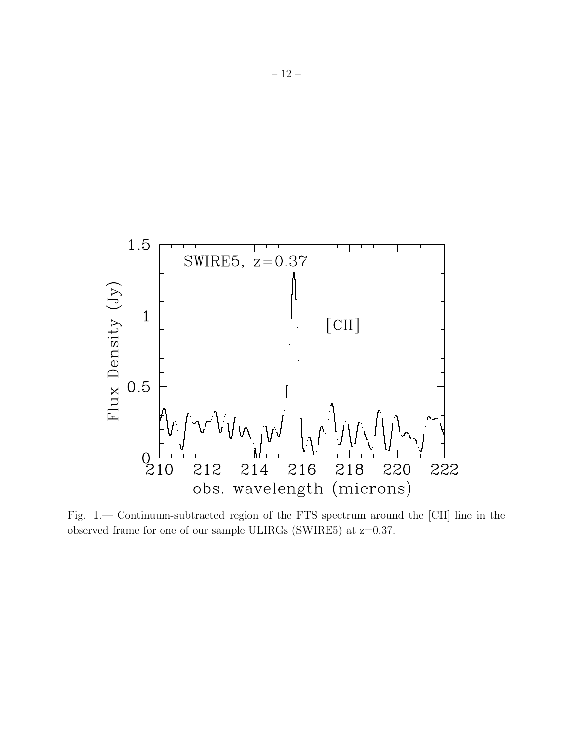

Fig. 1.— Continuum-subtracted region of the FTS spectrum around the [CII] line in the observed frame for one of our sample ULIRGs (SWIRE5) at z=0.37.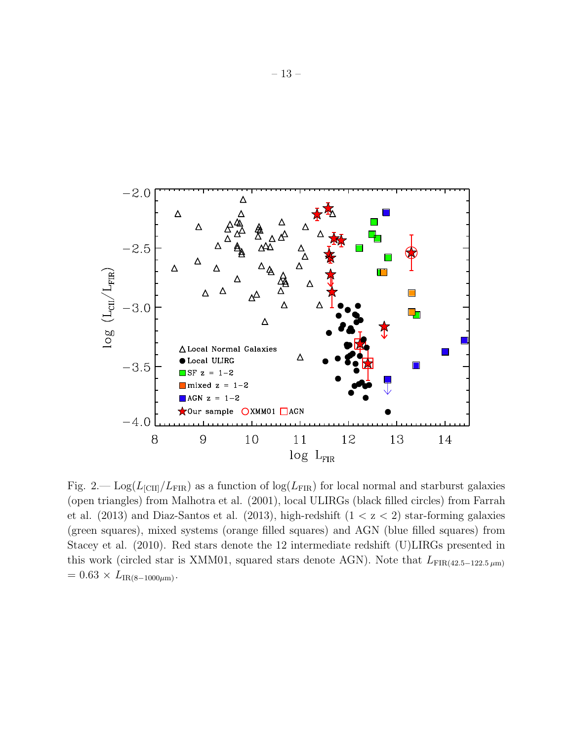

Fig. 2.—  $\text{Log}(L_{\text{ICII}}/L_{\text{FIR}})$  as a function of  $\log(L_{\text{FIR}})$  for local normal and starburst galaxies (open triangles) from Malhotra et al. (2001), local ULIRGs (black filled circles) from Farrah et al. (2013) and Diaz-Santos et al. (2013), high-redshift  $(1 < z < 2)$  star-forming galaxies (green squares), mixed systems (orange filled squares) and AGN (blue filled squares) from Stacey et al. (2010). Red stars denote the 12 intermediate redshift (U)LIRGs presented in this work (circled star is XMM01, squared stars denote AGN). Note that  $L_{\text{FIR}(42.5-122.5 \,\mu\text{m})}$  $= 0.63 \times L_{IR(8-1000\mu m)}$ .